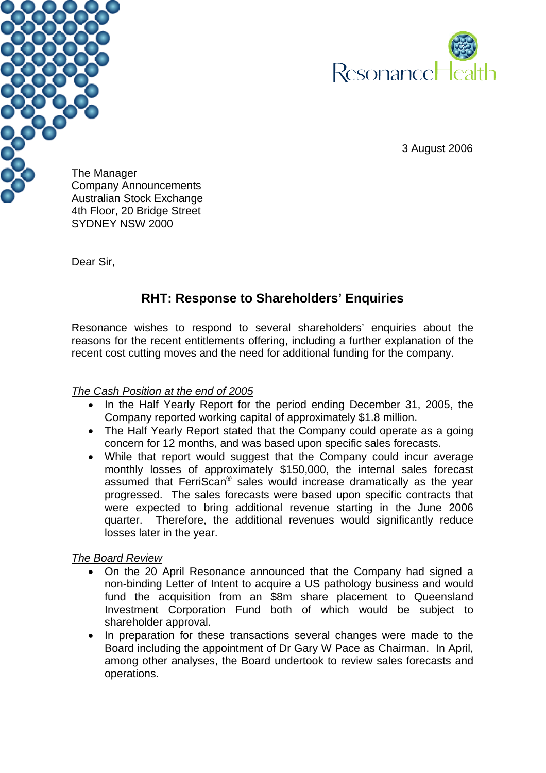



3 August 2006

The Manager Company Announcements Australian Stock Exchange 4th Floor, 20 Bridge Street SYDNEY NSW 2000

Dear Sir,

# **RHT: Response to Shareholders' Enquiries**

Resonance wishes to respond to several shareholders' enquiries about the reasons for the recent entitlements offering, including a further explanation of the recent cost cutting moves and the need for additional funding for the company.

## *The Cash Position at the end of 2005*

- In the Half Yearly Report for the period ending December 31, 2005, the Company reported working capital of approximately \$1.8 million.
- The Half Yearly Report stated that the Company could operate as a going concern for 12 months, and was based upon specific sales forecasts.
- While that report would suggest that the Company could incur average monthly losses of approximately \$150,000, the internal sales forecast assumed that FerriScan® sales would increase dramatically as the year progressed. The sales forecasts were based upon specific contracts that were expected to bring additional revenue starting in the June 2006 quarter. Therefore, the additional revenues would significantly reduce losses later in the year.

# *The Board Review*

- On the 20 April Resonance announced that the Company had signed a non-binding Letter of Intent to acquire a US pathology business and would fund the acquisition from an \$8m share placement to Queensland Investment Corporation Fund both of which would be subject to shareholder approval.
- In preparation for these transactions several changes were made to the Board including the appointment of Dr Gary W Pace as Chairman. In April, among other analyses, the Board undertook to review sales forecasts and operations.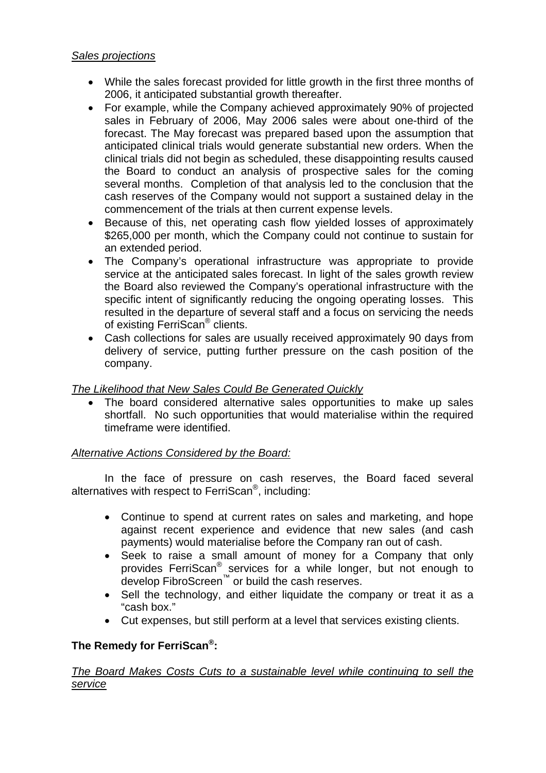## *Sales projections*

- While the sales forecast provided for little growth in the first three months of 2006, it anticipated substantial growth thereafter.
- For example, while the Company achieved approximately 90% of projected sales in February of 2006, May 2006 sales were about one-third of the forecast. The May forecast was prepared based upon the assumption that anticipated clinical trials would generate substantial new orders. When the clinical trials did not begin as scheduled, these disappointing results caused the Board to conduct an analysis of prospective sales for the coming several months. Completion of that analysis led to the conclusion that the cash reserves of the Company would not support a sustained delay in the commencement of the trials at then current expense levels.
- Because of this, net operating cash flow yielded losses of approximately \$265,000 per month, which the Company could not continue to sustain for an extended period.
- The Company's operational infrastructure was appropriate to provide service at the anticipated sales forecast. In light of the sales growth review the Board also reviewed the Company's operational infrastructure with the specific intent of significantly reducing the ongoing operating losses. This resulted in the departure of several staff and a focus on servicing the needs of existing FerriScan® clients.
- Cash collections for sales are usually received approximately 90 days from delivery of service, putting further pressure on the cash position of the company.

# *The Likelihood that New Sales Could Be Generated Quickly*

• The board considered alternative sales opportunities to make up sales shortfall. No such opportunities that would materialise within the required timeframe were identified.

## *Alternative Actions Considered by the Board:*

 In the face of pressure on cash reserves, the Board faced several alternatives with respect to FerriScan®, including:

- Continue to spend at current rates on sales and marketing, and hope against recent experience and evidence that new sales (and cash payments) would materialise before the Company ran out of cash.
- Seek to raise a small amount of money for a Company that only provides FerriScan® services for a while longer, but not enough to .<br>develop FibroScreen™ or build the cash reserves.
- Sell the technology, and either liquidate the company or treat it as a "cash box."
- Cut expenses, but still perform at a level that services existing clients.

# **The Remedy for FerriScan®:**

## *The Board Makes Costs Cuts to a sustainable level while continuing to sell the service*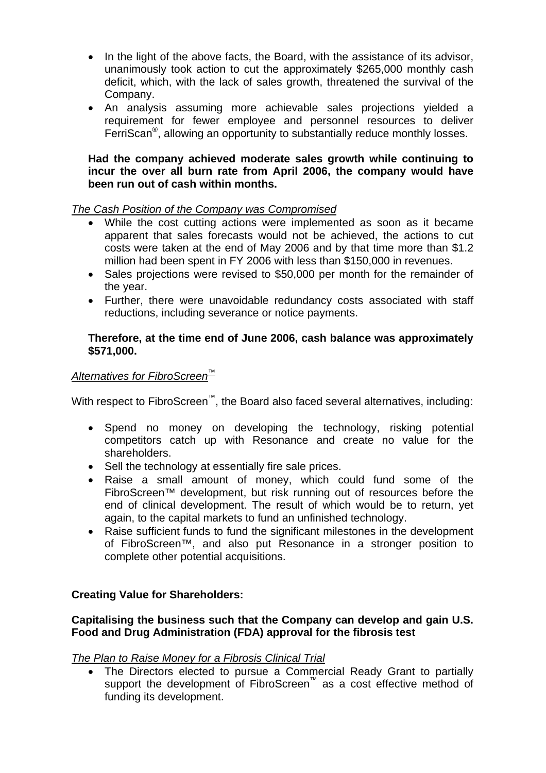- In the light of the above facts, the Board, with the assistance of its advisor, unanimously took action to cut the approximately \$265,000 monthly cash deficit, which, with the lack of sales growth, threatened the survival of the Company.
- An analysis assuming more achievable sales projections yielded a requirement for fewer employee and personnel resources to deliver FerriScan®, allowing an opportunity to substantially reduce monthly losses.

## **Had the company achieved moderate sales growth while continuing to incur the over all burn rate from April 2006, the company would have been run out of cash within months.**

## *The Cash Position of the Company was Compromised*

- While the cost cutting actions were implemented as soon as it became apparent that sales forecasts would not be achieved, the actions to cut costs were taken at the end of May 2006 and by that time more than \$1.2 million had been spent in FY 2006 with less than \$150,000 in revenues.
- Sales projections were revised to \$50,000 per month for the remainder of the year.
- Further, there were unavoidable redundancy costs associated with staff reductions, including severance or notice payments.

#### **Therefore, at the time end of June 2006, cash balance was approximately \$571,000.**

## *Alternatives for FibroScreen™*

With respect to FibroScreen<sup>™</sup>, the Board also faced several alternatives, including:

- Spend no money on developing the technology, risking potential competitors catch up with Resonance and create no value for the shareholders.
- Sell the technology at essentially fire sale prices.
- Raise a small amount of money, which could fund some of the FibroScreen™ development, but risk running out of resources before the end of clinical development. The result of which would be to return, yet again, to the capital markets to fund an unfinished technology.
- Raise sufficient funds to fund the significant milestones in the development of FibroScreen™, and also put Resonance in a stronger position to complete other potential acquisitions.

## **Creating Value for Shareholders:**

## **Capitalising the business such that the Company can develop and gain U.S. Food and Drug Administration (FDA) approval for the fibrosis test**

## *The Plan to Raise Money for a Fibrosis Clinical Trial*

• The Directors elected to pursue a Commercial Ready Grant to partially support the development of FibroScreen™ as a cost effective method of funding its development.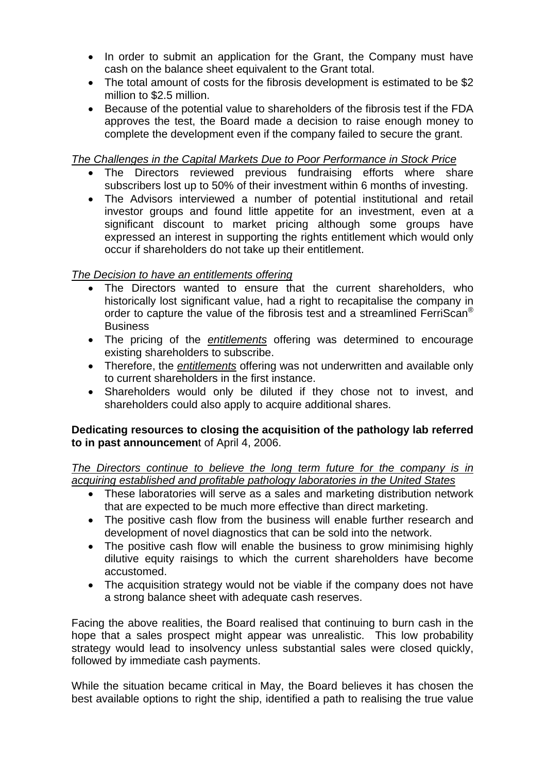- In order to submit an application for the Grant, the Company must have cash on the balance sheet equivalent to the Grant total.
- The total amount of costs for the fibrosis development is estimated to be \$2 million to \$2.5 million.
- Because of the potential value to shareholders of the fibrosis test if the FDA approves the test, the Board made a decision to raise enough money to complete the development even if the company failed to secure the grant.

*The Challenges in the Capital Markets Due to Poor Performance in Stock Price*

- The Directors reviewed previous fundraising efforts where share subscribers lost up to 50% of their investment within 6 months of investing.
- The Advisors interviewed a number of potential institutional and retail investor groups and found little appetite for an investment, even at a significant discount to market pricing although some groups have expressed an interest in supporting the rights entitlement which would only occur if shareholders do not take up their entitlement.

# *The Decision to have an entitlements offering*

- The Directors wanted to ensure that the current shareholders, who historically lost significant value, had a right to recapitalise the company in order to capture the value of the fibrosis test and a streamlined FerriScan<sup>®</sup> **Business**
- The pricing of the *entitlements* offering was determined to encourage existing shareholders to subscribe.
- Therefore, the *entitlements* offering was not underwritten and available only to current shareholders in the first instance.
- Shareholders would only be diluted if they chose not to invest, and shareholders could also apply to acquire additional shares.

## **Dedicating resources to closing the acquisition of the pathology lab referred to in past announcemen**t of April 4, 2006.

*The Directors continue to believe the long term future for the company is in acquiring established and profitable pathology laboratories in the United States*

- These laboratories will serve as a sales and marketing distribution network that are expected to be much more effective than direct marketing.
- The positive cash flow from the business will enable further research and development of novel diagnostics that can be sold into the network.
- The positive cash flow will enable the business to grow minimising highly dilutive equity raisings to which the current shareholders have become accustomed.
- The acquisition strategy would not be viable if the company does not have a strong balance sheet with adequate cash reserves.

Facing the above realities, the Board realised that continuing to burn cash in the hope that a sales prospect might appear was unrealistic. This low probability strategy would lead to insolvency unless substantial sales were closed quickly, followed by immediate cash payments.

While the situation became critical in May, the Board believes it has chosen the best available options to right the ship, identified a path to realising the true value